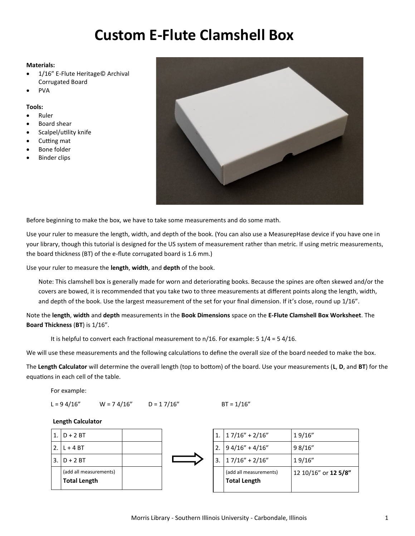## **Custom E-Flute Clamshell Box**

## **Materials:**

- 1/16" E-Flute Heritage© Archival Corrugated Board
- PVA

## **Tools:**

- Ruler
- Board shear
- Scalpel/utility knife
- Cutting mat
- Bone folder
- **Binder clips**



Before beginning to make the box, we have to take some measurements and do some math.

Use your ruler to measure the length, width, and depth of the book. (You can also use a MeasurepHase device if you have one in your library, though this tutorial is designed for the US system of measurement rather than metric. If using metric measurements, the board thickness (BT) of the e-flute corrugated board is 1.6 mm.)

Use your ruler to measure the **length**, **width**, and **depth** of the book.

Note: This clamshell box is generally made for worn and deteriorating books. Because the spines are often skewed and/or the covers are bowed, it is recommended that you take two to three measurements at different points along the length, width, and depth of the book. Use the largest measurement of the set for your final dimension. If it's close, round up 1/16".

Note the **length**, **width** and **depth** measurements in the **Book Dimensions** space on the **E-Flute Clamshell Box Worksheet**. The **Board Thickness** (**BT**) is 1/16".

It is helpful to convert each fractional measurement to  $n/16$ . For example: 5  $1/4$  = 5 4/16.

We will use these measurements and the following calculations to define the overall size of the board needed to make the box.

The **Length Calculator** will determine the overall length (top to bottom) of the board. Use your measurements (**L**, **D**, and **BT**) for the equations in each cell of the table.

For example:

 $L = 94/16''$   $W = 74/16''$   $D = 17/16''$  BT = 1/16"

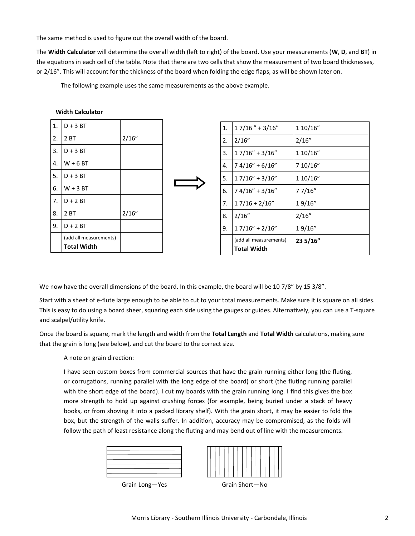The same method is used to figure out the overall width of the board.

The **Width Calculator** will determine the overall width (left to right) of the board. Use your measurements (**W**, **D**, and **BT**) in the equations in each cell of the table. Note that there are two cells that show the measurement of two board thicknesses, or 2/16". This will account for the thickness of the board when folding the edge flaps, as will be shown later on.

The following example uses the same measurements as the above example.

| 1. | $D + 3 B T$            |       |
|----|------------------------|-------|
| 2. | 2 BT                   | 2/16" |
| 3. | $D + 3 B T$            |       |
| 4. | $W + 6 B T$            |       |
| 5. | $D + 3 B T$            |       |
| 6. | $W + 3 B T$            |       |
| 7. | $D + 2 B T$            |       |
| 8. | 2 <sub>BT</sub>        | 2/16" |
| 9. | $D + 2 BT$             |       |
|    | (add all measurements) |       |
|    | <b>Total Width</b>     |       |
|    |                        |       |

**Width Calculator**

| 1. | $17/16$ " + 3/16"                     | 110/16"  |
|----|---------------------------------------|----------|
| 2. | 2/16"                                 | 2/16"    |
| 3. | $17/16" + 3/16"$                      | 1 10/16" |
| 4. | $74/16" + 6/16"$                      | 7 10/16" |
| 5. | $17/16" + 3/16"$                      | 110/16"  |
| 6. | $74/16" + 3/16"$                      | 7 7/16"  |
| 7. | $17/16 + 2/16"$                       | 19/16"   |
| 8. | 2/16"                                 | 2/16"    |
| 9. | $17/16" + 2/16"$                      | 19/16"   |
|    | (add all measurements)<br>Total Width | 23 5/16" |

We now have the overall dimensions of the board. In this example, the board will be 10 7/8" by 15 3/8".

Start with a sheet of e-flute large enough to be able to cut to your total measurements. Make sure it is square on all sides. This is easy to do using a board sheer, squaring each side using the gauges or guides. Alternatively, you can use a T-square and scalpel/utility knife.

Once the board is square, mark the length and width from the **Total Length** and **Total Width** calculations, making sure that the grain is long (see below), and cut the board to the correct size.

A note on grain direction:

I have seen custom boxes from commercial sources that have the grain running either long (the fluting, or corrugations, running parallel with the long edge of the board) or short (the fluting running parallel with the short edge of the board). I cut my boards with the grain running long. I find this gives the box more strength to hold up against crushing forces (for example, being buried under a stack of heavy books, or from shoving it into a packed library shelf). With the grain short, it may be easier to fold the box, but the strength of the walls suffer. In addition, accuracy may be compromised, as the folds will follow the path of least resistance along the fluting and may bend out of line with the measurements.

| and the control of |  |
|--------------------|--|
|                    |  |
|                    |  |
|                    |  |



Grain Long-Yes Grain Short-No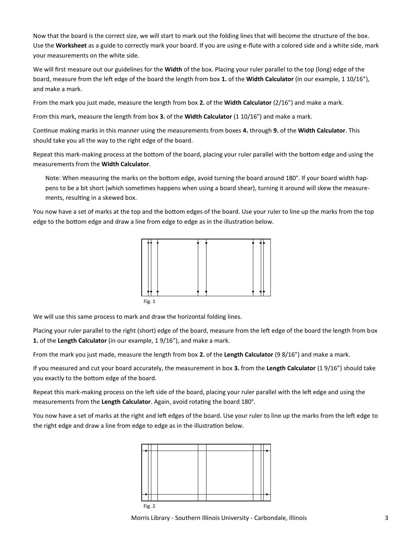Now that the board is the correct size, we will start to mark out the folding lines that will become the structure of the box. Use the **Worksheet** as a guide to correctly mark your board. If you are using e-flute with a colored side and a white side, mark your measurements on the white side.

We will first measure out our guidelines for the **Width** of the box. Placing your ruler parallel to the top (long) edge of the board, measure from the left edge of the board the length from box **1.** of the **Width Calculator** (in our example, 1 10/16"), and make a mark.

From the mark you just made, measure the length from box **2.** of the **Width Calculator** (2/16") and make a mark.

From this mark, measure the length from box **3.** of the **Width Calculator** (1 10/16") and make a mark.

Continue making marks in this manner using the measurements from boxes **4.** through **9.** of the **Width Calculator**. This should take you all the way to the right edge of the board.

Repeat this mark-making process at the bottom of the board, placing your ruler parallel with the bottom edge and using the measurements from the **Width Calculator**.

Note: When measuring the marks on the bottom edge, avoid turning the board around 180°. If your board width happens to be a bit short (which sometimes happens when using a board shear), turning it around will skew the measurements, resulting in a skewed box.

You now have a set of marks at the top and the bottom edges of the board. Use your ruler to line up the marks from the top edge to the bottom edge and draw a line from edge to edge as in the illustration below.



We will use this same process to mark and draw the horizontal folding lines.

Placing your ruler parallel to the right (short) edge of the board, measure from the left edge of the board the length from box **1.** of the **Length Calculator** (in our example, 1 9/16"), and make a mark.

From the mark you just made, measure the length from box **2.** of the **Length Calculator** (9 8/16") and make a mark.

If you measured and cut your board accurately, the measurement in box **3.** from the **Length Calculator** (1 9/16") should take you exactly to the bottom edge of the board.

Repeat this mark-making process on the left side of the board, placing your ruler parallel with the left edge and using the measurements from the **Length Calculator**. Again, avoid rotating the board 180°.

You now have a set of marks at the right and left edges of the board. Use your ruler to line up the marks from the left edge to the right edge and draw a line from edge to edge as in the illustration below.



Morris Library - Southern Illinois University - Carbondale, Illinois 3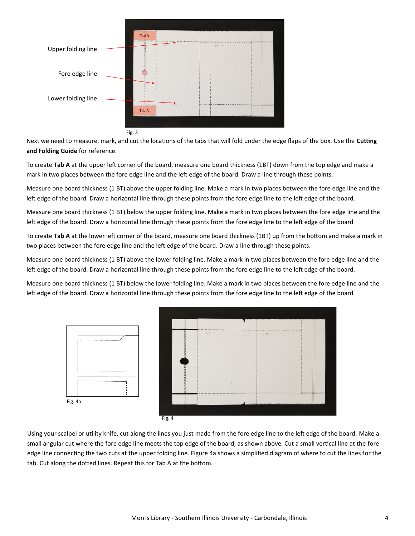

Next we need to measure, mark, and cut the locations of the tabs that will fold under the edge flaps of the box. Use the **Cutting and Folding Guide** for reference.

To create **Tab A** at the upper left corner of the board, measure one board thickness (1BT) down from the top edge and make a mark in two places between the fore edge line and the left edge of the board. Draw a line through these points.

Measure one board thickness (1 BT) above the upper folding line. Make a mark in two places between the fore edge line and the left edge of the board. Draw a horizontal line through these points from the fore edge line to the left edge of the board.

Measure one board thickness (1 BT) below the upper folding line. Make a mark in two places between the fore edge line and the left edge of the board. Draw a horizontal line through these points from the fore edge line to the left edge of the board

To create **Tab A** at the lower left corner of the board, measure one board thickness (1BT) up from the bottom and make a mark in two places between the fore edge line and the left edge of the board. Draw a line through these points.

Measure one board thickness (1 BT) above the lower folding line. Make a mark in two places between the fore edge line and the left edge of the board. Draw a horizontal line through these points from the fore edge line to the left edge of the board.

Measure one board thickness (1 BT) below the lower folding line. Make a mark in two places between the fore edge line and the left edge of the board. Draw a horizontal line through these points from the fore edge line to the left edge of the board



Fig. 4

Using your scalpel or utility knife, cut along the lines you just made from the fore edge line to the left edge of the board. Make a small angular cut where the fore edge line meets the top edge of the board, as shown above. Cut a small vertical line at the fore edge line connecting the two cuts at the upper folding line. Figure 4a shows a simplified diagram of where to cut the lines for the tab. Cut along the dotted lines. Repeat this for Tab A at the bottom.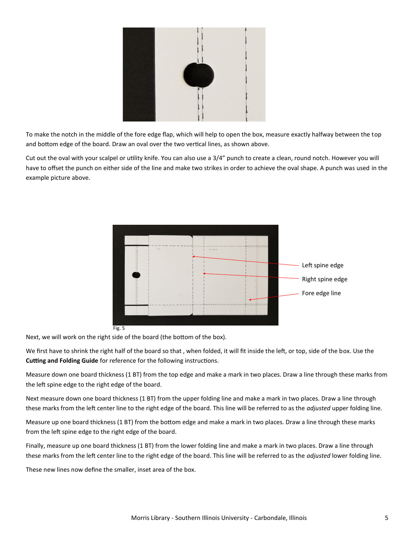

To make the notch in the middle of the fore edge flap, which will help to open the box, measure exactly halfway between the top and bottom edge of the board. Draw an oval over the two vertical lines, as shown above.

Cut out the oval with your scalpel or utility knife. You can also use a 3/4" punch to create a clean, round notch. However you will have to offset the punch on either side of the line and make two strikes in order to achieve the oval shape. A punch was used in the example picture above.



Next, we will work on the right side of the board (the bottom of the box).

We first have to shrink the right half of the board so that , when folded, it will fit inside the left, or top, side of the box. Use the **Cutting and Folding Guide** for reference for the following instructions.

Measure down one board thickness (1 BT) from the top edge and make a mark in two places. Draw a line through these marks from the left spine edge to the right edge of the board.

Next measure down one board thickness (1 BT) from the upper folding line and make a mark in two places. Draw a line through these marks from the left center line to the right edge of the board. This line will be referred to as the *adjusted* upper folding line.

Measure up one board thickness (1 BT) from the bottom edge and make a mark in two places. Draw a line through these marks from the left spine edge to the right edge of the board.

Finally, measure up one board thickness (1 BT) from the lower folding line and make a mark in two places. Draw a line through these marks from the left center line to the right edge of the board. This line will be referred to as the *adjusted* lower folding line.

These new lines now define the smaller, inset area of the box.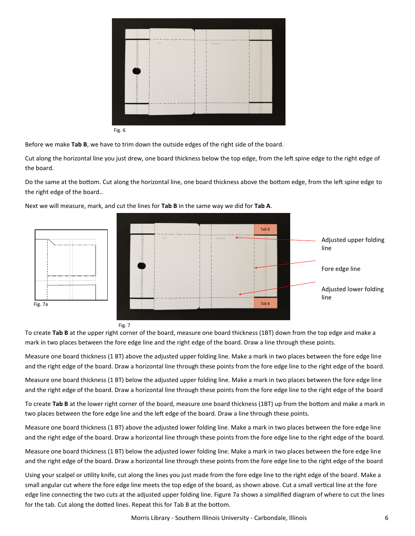|        | $\sim$<br>TOP | BOTTOM                                 |           |
|--------|---------------|----------------------------------------|-----------|
|        |               |                                        |           |
|        |               |                                        |           |
|        |               |                                        |           |
|        |               |                                        |           |
|        |               |                                        | $\lambda$ |
|        |               | <b><i><u>PERSONAL PROPERTY</u></i></b> |           |
|        |               |                                        |           |
|        |               |                                        |           |
| Fig. 6 |               |                                        |           |

Fig. 6

Before we make **Tab B**, we have to trim down the outside edges of the right side of the board.

Cut along the horizontal line you just drew, one board thickness below the top edge, from the left spine edge to the right edge of the board.

Do the same at the bottom. Cut along the horizontal line, one board thickness above the bottom edge, from the left spine edge to the right edge of the board..



Next we will measure, mark, and cut the lines for **Tab B** in the same way we did for **Tab A**.

To create **Tab B** at the upper right corner of the board, measure one board thickness (1BT) down from the top edge and make a mark in two places between the fore edge line and the right edge of the board. Draw a line through these points.

Measure one board thickness (1 BT) above the adjusted upper folding line. Make a mark in two places between the fore edge line and the right edge of the board. Draw a horizontal line through these points from the fore edge line to the right edge of the board.

Measure one board thickness (1 BT) below the adjusted upper folding line. Make a mark in two places between the fore edge line and the right edge of the board. Draw a horizontal line through these points from the fore edge line to the right edge of the board

To create **Tab B** at the lower right corner of the board, measure one board thickness (1BT) up from the bottom and make a mark in two places between the fore edge line and the left edge of the board. Draw a line through these points.

Measure one board thickness (1 BT) above the adjusted lower folding line. Make a mark in two places between the fore edge line and the right edge of the board. Draw a horizontal line through these points from the fore edge line to the right edge of the board.

Measure one board thickness (1 BT) below the adjusted lower folding line. Make a mark in two places between the fore edge line and the right edge of the board. Draw a horizontal line through these points from the fore edge line to the right edge of the board

Using your scalpel or utility knife, cut along the lines you just made from the fore edge line to the right edge of the board. Make a small angular cut where the fore edge line meets the top edge of the board, as shown above. Cut a small vertical line at the fore edge line connecting the two cuts at the adjusted upper folding line. Figure 7a shows a simplified diagram of where to cut the lines for the tab. Cut along the dotted lines. Repeat this for Tab B at the bottom.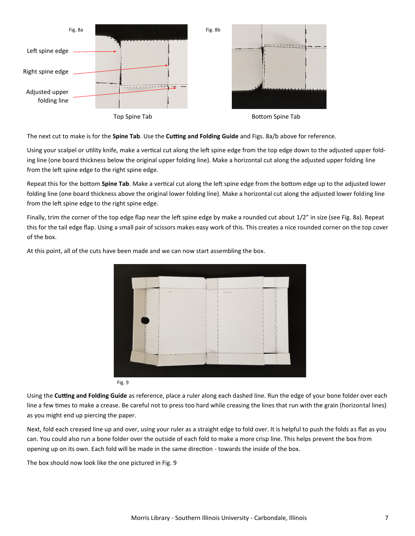

The next cut to make is for the **Spine Tab**. Use the **Cutting and Folding Guide** and Figs. 8a/b above for reference.

Using your scalpel or utility knife, make a vertical cut along the left spine edge from the top edge down to the adjusted upper folding line (one board thickness below the original upper folding line). Make a horizontal cut along the adjusted upper folding line from the left spine edge to the right spine edge.

Repeat this for the bottom **Spine Tab**. Make a vertical cut along the left spine edge from the bottom edge up to the adjusted lower folding line (one board thickness above the original lower folding line). Make a horizontal cut along the adjusted lower folding line from the left spine edge to the right spine edge.

Finally, trim the corner of the top edge flap near the left spine edge by make a rounded cut about 1/2" in size (see Fig. 8a). Repeat this for the tail edge flap. Using a small pair of scissors makes easy work of this. This creates a nice rounded corner on the top cover of the box.



At this point, all of the cuts have been made and we can now start assembling the box.

Fig. 9

Using the **Cutting and Folding Guide** as reference, place a ruler along each dashed line. Run the edge of your bone folder over each line a few times to make a crease. Be careful not to press too hard while creasing the lines that run with the grain (horizontal lines) as you might end up piercing the paper.

Next, fold each creased line up and over, using your ruler as a straight edge to fold over. It is helpful to push the folds as flat as you can. You could also run a bone folder over the outside of each fold to make a more crisp line. This helps prevent the box from opening up on its own. Each fold will be made in the same direction - towards the inside of the box.

The box should now look like the one pictured in Fig. 9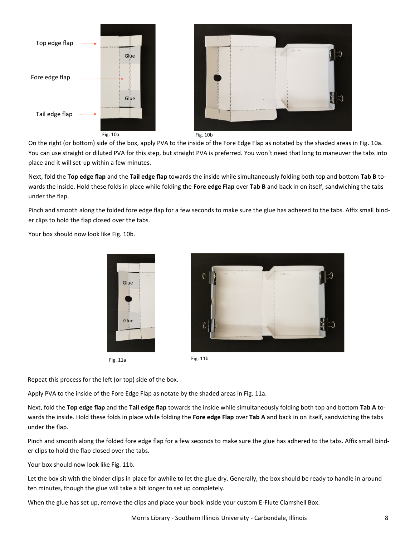

On the right (or bottom) side of the box, apply PVA to the inside of the Fore Edge Flap as notated by the shaded areas in Fig. 10a. You can use straight or diluted PVA for this step, but straight PVA is preferred. You won't need that long to maneuver the tabs into place and it will set-up within a few minutes.

Next, fold the **Top edge flap** and the **Tail edge flap** towards the inside while simultaneously folding both top and bottom **Tab B** towards the inside. Hold these folds in place while folding the **Fore edge Flap** over **Tab B** and back in on itself, sandwiching the tabs under the flap.

Pinch and smooth along the folded fore edge flap for a few seconds to make sure the glue has adhered to the tabs. Affix small binder clips to hold the flap closed over the tabs.

Your box should now look like Fig. 10b.







Repeat this process for the left (or top) side of the box.

Apply PVA to the inside of the Fore Edge Flap as notate by the shaded areas in Fig. 11a.

Next, fold the **Top edge flap** and the **Tail edge flap** towards the inside while simultaneously folding both top and bottom **Tab A** towards the inside. Hold these folds in place while folding the **Fore edge Flap** over **Tab A** and back in on itself, sandwiching the tabs under the flap.

Pinch and smooth along the folded fore edge flap for a few seconds to make sure the glue has adhered to the tabs. Affix small binder clips to hold the flap closed over the tabs.

Your box should now look like Fig. 11b.

Let the box sit with the binder clips in place for awhile to let the glue dry. Generally, the box should be ready to handle in around ten minutes, though the glue will take a bit longer to set up completely.

When the glue has set up, remove the clips and place your book inside your custom E-Flute Clamshell Box.

Morris Library - Southern Illinois University - Carbondale, Illinois 8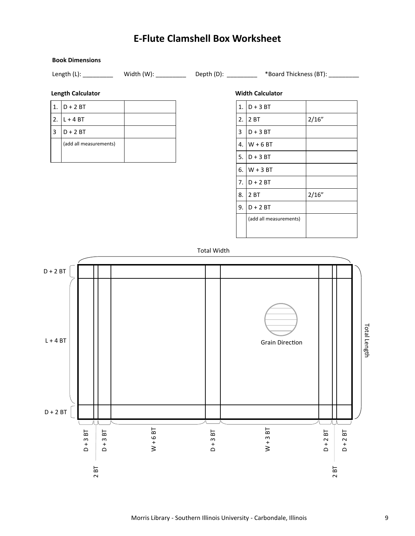## **E-Flute Clamshell Box Worksheet**



**Book Dimensions**

1.  $D + 3 BT$ 2.  $2 B T$  2/16"  $3 \mid D + 3 BT$ 4.  $W + 6 BT$ 5.  $D + 3 BT$ 6. W + 3 BT 7.  $D + 2 BT$ 8.  $2 B T$  2/16" 9.  $D + 2 BT$ (add all measurements)

Total Width